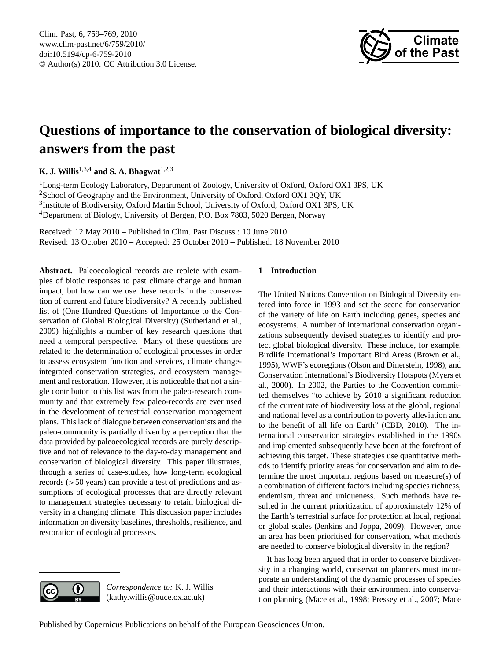

# <span id="page-0-0"></span>**Questions of importance to the conservation of biological diversity: answers from the past**

**K. J. Willis**<sup>1,3,4</sup> and **S. A. Bhagwat**<sup>1,2,3</sup>

<sup>1</sup>Long-term Ecology Laboratory, Department of Zoology, University of Oxford, Oxford OX1 3PS, UK <sup>2</sup>School of Geography and the Environment, University of Oxford, Oxford OX1 3QY, UK <sup>3</sup>Institute of Biodiversity, Oxford Martin School, University of Oxford, Oxford OX1 3PS, UK <sup>4</sup>Department of Biology, University of Bergen, P.O. Box 7803, 5020 Bergen, Norway

Received: 12 May 2010 – Published in Clim. Past Discuss.: 10 June 2010 Revised: 13 October 2010 – Accepted: 25 October 2010 – Published: 18 November 2010

**Abstract.** Paleoecological records are replete with examples of biotic responses to past climate change and human impact, but how can we use these records in the conservation of current and future biodiversity? A recently published list of (One Hundred Questions of Importance to the Conservation of Global Biological Diversity) (Sutherland et al., 2009) highlights a number of key research questions that need a temporal perspective. Many of these questions are related to the determination of ecological processes in order to assess ecosystem function and services, climate changeintegrated conservation strategies, and ecosystem management and restoration. However, it is noticeable that not a single contributor to this list was from the paleo-research community and that extremely few paleo-records are ever used in the development of terrestrial conservation management plans. This lack of dialogue between conservationists and the paleo-community is partially driven by a perception that the data provided by paleoecological records are purely descriptive and not of relevance to the day-to-day management and conservation of biological diversity. This paper illustrates, through a series of case-studies, how long-term ecological records (>50 years) can provide a test of predictions and assumptions of ecological processes that are directly relevant to management strategies necessary to retain biological diversity in a changing climate. This discussion paper includes information on diversity baselines, thresholds, resilience, and restoration of ecological processes.

## **1 Introduction**

The United Nations Convention on Biological Diversity entered into force in 1993 and set the scene for conservation of the variety of life on Earth including genes, species and ecosystems. A number of international conservation organizations subsequently devised strategies to identify and protect global biological diversity. These include, for example, Birdlife International's Important Bird Areas (Brown et al., 1995), WWF's ecoregions (Olson and Dinerstein, 1998), and Conservation International's Biodiversity Hotspots (Myers et al., 2000). In 2002, the Parties to the Convention committed themselves "to achieve by 2010 a significant reduction of the current rate of biodiversity loss at the global, regional and national level as a contribution to poverty alleviation and to the benefit of all life on Earth" (CBD, 2010). The international conservation strategies established in the 1990s and implemented subsequently have been at the forefront of achieving this target. These strategies use quantitative methods to identify priority areas for conservation and aim to determine the most important regions based on measure(s) of a combination of different factors including species richness, endemism, threat and uniqueness. Such methods have resulted in the current prioritization of approximately 12% of the Earth's terrestrial surface for protection at local, regional or global scales (Jenkins and Joppa, 2009). However, once an area has been prioritised for conservation, what methods are needed to conserve biological diversity in the region?

It has long been argued that in order to conserve biodiversity in a changing world, conservation planners must incorporate an understanding of the dynamic processes of species and their interactions with their environment into conservation planning (Mace et al., 1998; Pressey et al., 2007; Mace



*Correspondence to:* K. J. Willis (kathy.willis@ouce.ox.ac.uk)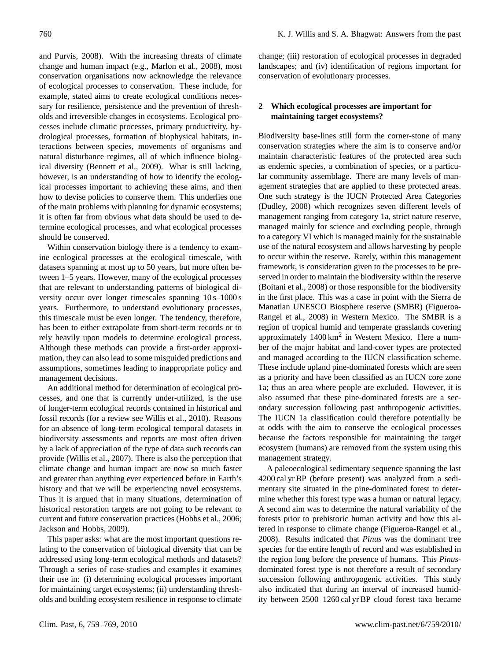and Purvis, 2008). With the increasing threats of climate change and human impact (e.g., Marlon et al., 2008), most conservation organisations now acknowledge the relevance of ecological processes to conservation. These include, for example, stated aims to create ecological conditions necessary for resilience, persistence and the prevention of thresholds and irreversible changes in ecosystems. Ecological processes include climatic processes, primary productivity, hydrological processes, formation of biophysical habitats, interactions between species, movements of organisms and natural disturbance regimes, all of which influence biological diversity (Bennett et al., 2009). What is still lacking, however, is an understanding of how to identify the ecological processes important to achieving these aims, and then how to devise policies to conserve them. This underlies one of the main problems with planning for dynamic ecosystems; it is often far from obvious what data should be used to determine ecological processes, and what ecological processes should be conserved.

Within conservation biology there is a tendency to examine ecological processes at the ecological timescale, with datasets spanning at most up to 50 years, but more often between 1–5 years. However, many of the ecological processes that are relevant to understanding patterns of biological diversity occur over longer timescales spanning 10 s–1000 s years. Furthermore, to understand evolutionary processes, this timescale must be even longer. The tendency, therefore, has been to either extrapolate from short-term records or to rely heavily upon models to determine ecological process. Although these methods can provide a first-order approximation, they can also lead to some misguided predictions and assumptions, sometimes leading to inappropriate policy and management decisions.

An additional method for determination of ecological processes, and one that is currently under-utilized, is the use of longer-term ecological records contained in historical and fossil records (for a review see Willis et al., 2010). Reasons for an absence of long-term ecological temporal datasets in biodiversity assessments and reports are most often driven by a lack of appreciation of the type of data such records can provide (Willis et al., 2007). There is also the perception that climate change and human impact are now so much faster and greater than anything ever experienced before in Earth's history and that we will be experiencing novel ecosystems. Thus it is argued that in many situations, determination of historical restoration targets are not going to be relevant to current and future conservation practices (Hobbs et al., 2006; Jackson and Hobbs, 2009).

This paper asks: what are the most important questions relating to the conservation of biological diversity that can be addressed using long-term ecological methods and datasets? Through a series of case-studies and examples it examines their use in: (i) determining ecological processes important for maintaining target ecosystems; (ii) understanding thresholds and building ecosystem resilience in response to climate change; (iii) restoration of ecological processes in degraded landscapes; and (iv) identification of regions important for conservation of evolutionary processes.

### **2 Which ecological processes are important for maintaining target ecosystems?**

Biodiversity base-lines still form the corner-stone of many conservation strategies where the aim is to conserve and/or maintain characteristic features of the protected area such as endemic species, a combination of species, or a particular community assemblage. There are many levels of management strategies that are applied to these protected areas. One such strategy is the IUCN Protected Area Categories (Dudley, 2008) which recognizes seven different levels of management ranging from category 1a, strict nature reserve, managed mainly for science and excluding people, through to a category VI which is managed mainly for the sustainable use of the natural ecosystem and allows harvesting by people to occur within the reserve. Rarely, within this management framework, is consideration given to the processes to be preserved in order to maintain the biodiversity within the reserve (Boitani et al., 2008) or those responsible for the biodiversity in the first place. This was a case in point with the Sierra de Manatlan UNESCO Biosphere reserve (SMBR) (Figueroa-Rangel et al., 2008) in Western Mexico. The SMBR is a region of tropical humid and temperate grasslands covering approximately  $1400 \text{ km}^2$  in Western Mexico. Here a number of the major habitat and land-cover types are protected and managed according to the IUCN classification scheme. These include upland pine-dominated forests which are seen as a priority and have been classified as an IUCN core zone 1a; thus an area where people are excluded. However, it is also assumed that these pine-dominated forests are a secondary succession following past anthropogenic activities. The IUCN 1a classification could therefore potentially be at odds with the aim to conserve the ecological processes because the factors responsible for maintaining the target ecosystem (humans) are removed from the system using this management strategy.

A paleoecological sedimentary sequence spanning the last 4200 cal yr BP (before present) was analyzed from a sedimentary site situated in the pine-dominated forest to determine whether this forest type was a human or natural legacy. A second aim was to determine the natural variability of the forests prior to prehistoric human activity and how this altered in response to climate change (Figueroa-Rangel et al., 2008). Results indicated that *Pinus* was the dominant tree species for the entire length of record and was established in the region long before the presence of humans. This *Pinus*dominated forest type is not therefore a result of secondary succession following anthropogenic activities. This study also indicated that during an interval of increased humidity between 2500–1260 cal yr BP cloud forest taxa became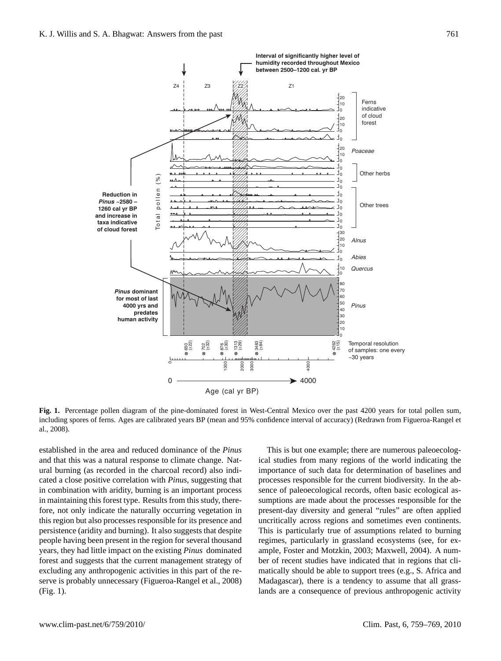

**Fig. 1.** Percentage pollen diagram of the pine-dominated forest in West-Central Mexico over the past 4200 years for total pollen sum, including spores of ferns. Ages are calibrated years BP (mean and 95% confidence interval of accuracy) (Redrawn from Figueroa-Rangel et al., 2008).

established in the area and reduced dominance of the *Pinus* and that this was a natural response to climate change. Natural burning (as recorded in the charcoal record) also indicated a close positive correlation with *Pinus*, suggesting that in combination with aridity, burning is an important process in maintaining this forest type. Results from this study, therefore, not only indicate the naturally occurring vegetation in this region but also processes responsible for its presence and persistence (aridity and burning). It also suggests that despite people having been present in the region for several thousand years, they had little impact on the existing *Pinus* dominated forest and suggests that the current management strategy of excluding any anthropogenic activities in this part of the reserve is probably unnecessary (Figueroa-Rangel et al., 2008) (Fig. 1).

This is but one example; there are numerous paleoecological studies from many regions of the world indicating the importance of such data for determination of baselines and processes responsible for the current biodiversity. In the absence of paleoecological records, often basic ecological assumptions are made about the processes responsible for the present-day diversity and general "rules" are often applied uncritically across regions and sometimes even continents. This is particularly true of assumptions related to burning regimes, particularly in grassland ecosystems (see, for example, Foster and Motzkin, 2003; Maxwell, 2004). A number of recent studies have indicated that in regions that climatically should be able to support trees (e.g., S. Africa and Madagascar), there is a tendency to assume that all grasslands are a consequence of previous anthropogenic activity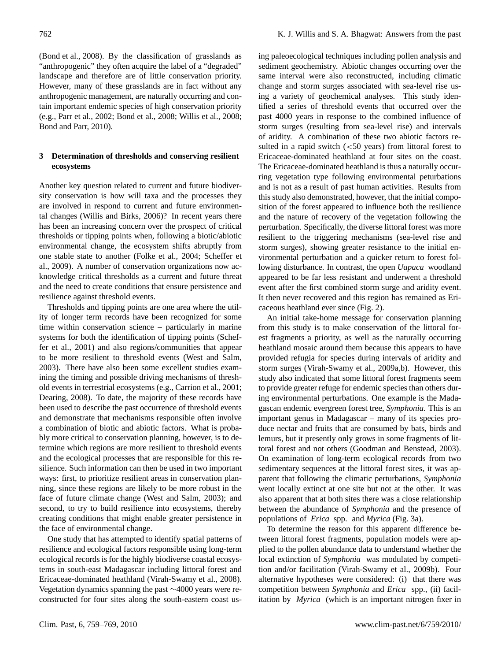(Bond et al., 2008). By the classification of grasslands as "anthropogenic" they often acquire the label of a "degraded" landscape and therefore are of little conservation priority. However, many of these grasslands are in fact without any anthropogenic management, are naturally occurring and contain important endemic species of high conservation priority (e.g., Parr et al., 2002; Bond et al., 2008; Willis et al., 2008; Bond and Parr, 2010).

## **3 Determination of thresholds and conserving resilient ecosystems**

Another key question related to current and future biodiversity conservation is how will taxa and the processes they are involved in respond to current and future environmental changes (Willis and Birks, 2006)? In recent years there has been an increasing concern over the prospect of critical thresholds or tipping points when, following a biotic/abiotic environmental change, the ecosystem shifts abruptly from one stable state to another (Folke et al., 2004; Scheffer et al., 2009). A number of conservation organizations now acknowledge critical thresholds as a current and future threat and the need to create conditions that ensure persistence and resilience against threshold events.

Thresholds and tipping points are one area where the utility of longer term records have been recognized for some time within conservation science – particularly in marine systems for both the identification of tipping points (Scheffer et al., 2001) and also regions/communities that appear to be more resilient to threshold events (West and Salm, 2003). There have also been some excellent studies examining the timing and possible driving mechanisms of threshold events in terrestrial ecosystems (e.g., Carrion et al., 2001; Dearing, 2008). To date, the majority of these records have been used to describe the past occurrence of threshold events and demonstrate that mechanisms responsible often involve a combination of biotic and abiotic factors. What is probably more critical to conservation planning, however, is to determine which regions are more resilient to threshold events and the ecological processes that are responsible for this resilience. Such information can then be used in two important ways: first, to prioritize resilient areas in conservation planning, since these regions are likely to be more robust in the face of future climate change (West and Salm, 2003); and second, to try to build resilience into ecosystems, thereby creating conditions that might enable greater persistence in the face of environmental change.

One study that has attempted to identify spatial patterns of resilience and ecological factors responsible using long-term ecological records is for the highly biodiverse coastal ecosystems in south-east Madagascar including littoral forest and Ericaceae-dominated heathland (Virah-Swamy et al., 2008). Vegetation dynamics spanning the past ∼4000 years were reconstructed for four sites along the south-eastern coast using paleoecological techniques including pollen analysis and sediment geochemistry. Abiotic changes occurring over the same interval were also reconstructed, including climatic change and storm surges associated with sea-level rise using a variety of geochemical analyses. This study identified a series of threshold events that occurred over the past 4000 years in response to the combined influence of storm surges (resulting from sea-level rise) and intervals of aridity. A combination of these two abiotic factors resulted in a rapid switch  $(<50$  years) from littoral forest to Ericaceae-dominated heathland at four sites on the coast. The Ericaceae-dominated heathland is thus a naturally occurring vegetation type following environmental peturbations and is not as a result of past human activities. Results from this study also demonstrated, however, that the initial composition of the forest appeared to influence both the resilience and the nature of recovery of the vegetation following the perturbation. Specifically, the diverse littoral forest was more resilient to the triggering mechanisms (sea-level rise and storm surges), showing greater resistance to the initial environmental perturbation and a quicker return to forest following disturbance. In contrast, the open *Uapaca* woodland appeared to be far less resistant and underwent a threshold event after the first combined storm surge and aridity event. It then never recovered and this region has remained as Ericaceous heathland ever since (Fig. 2).

An initial take-home message for conservation planning from this study is to make conservation of the littoral forest fragments a priority, as well as the naturally occurring heathland mosaic around them because this appears to have provided refugia for species during intervals of aridity and storm surges (Virah-Swamy et al., 2009a,b). However, this study also indicated that some littoral forest fragments seem to provide greater refuge for endemic species than others during environmental perturbations. One example is the Madagascan endemic evergreen forest tree, *Symphonia*. This is an important genus in Madagascar – many of its species produce nectar and fruits that are consumed by bats, birds and lemurs, but it presently only grows in some fragments of littoral forest and not others (Goodman and Benstead, 2003). On examination of long-term ecological records from two sedimentary sequences at the littoral forest sites, it was apparent that following the climatic perturbations, *Symphonia* went locally extinct at one site but not at the other. It was also apparent that at both sites there was a close relationship between the abundance of *Symphonia* and the presence of populations of *Erica* spp. and *Myrica* (Fig. 3a).

To determine the reason for this apparent difference between littoral forest fragments, population models were applied to the pollen abundance data to understand whether the local extinction of *Symphonia* was modulated by competition and/or facilitation (Virah-Swamy et al., 2009b). Four alternative hypotheses were considered: (i) that there was competition between *Symphonia* and *Erica* spp., (ii) facilitation by *Myrica* (which is an important nitrogen fixer in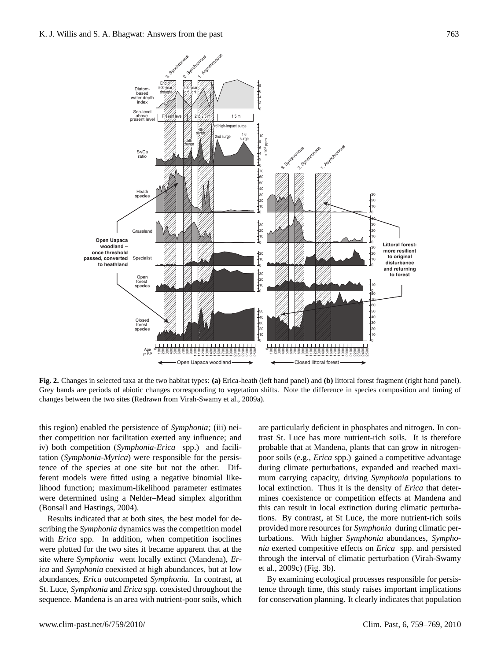

**Fig. 2.** Changes in selected taxa at the two habitat types: **(a)** Erica-heath (left hand panel) and **(b)** littoral forest fragment (right hand panel). Grey bands are periods of abiotic changes corresponding to vegetation shifts. Note the difference in species composition and timing of changes between the two sites (Redrawn from Virah-Swamy et al., 2009a).

this region) enabled the persistence of *Symphonia;* (iii) neither competition nor facilitation exerted any influence; and iv) both competition (*Symphonia-Erica* spp.) and facilitation (*Symphonia-Myrica*) were responsible for the persistence of the species at one site but not the other. Different models were fitted using a negative binomial likelihood function; maximum-likelihood parameter estimates were determined using a Nelder–Mead simplex algorithm (Bonsall and Hastings, 2004).

Results indicated that at both sites, the best model for describing the *Symphonia* dynamics was the competition model with *Erica* spp. In addition, when competition isoclines were plotted for the two sites it became apparent that at the site where *Symphonia* went locally extinct (Mandena), *Erica* and *Symphonia* coexisted at high abundances, but at low abundances, *Erica* outcompeted *Symphonia*. In contrast, at St. Luce, *Symphonia* and *Erica* spp. coexisted throughout the sequence. Mandena is an area with nutrient-poor soils, which are particularly deficient in phosphates and nitrogen. In contrast St. Luce has more nutrient-rich soils. It is therefore probable that at Mandena, plants that can grow in nitrogenpoor soils (e.g., *Erica* spp.) gained a competitive advantage during climate perturbations, expanded and reached maximum carrying capacity, driving *Symphonia* populations to local extinction. Thus it is the density of *Erica* that determines coexistence or competition effects at Mandena and this can result in local extinction during climatic perturbations. By contrast, at St Luce, the more nutrient-rich soils provided more resources for *Symphonia* during climatic perturbations. With higher *Symphonia* abundances, *Symphonia* exerted competitive effects on *Erica* spp. and persisted through the interval of climatic perturbation (Virah-Swamy et al., 2009c) (Fig. 3b).

By examining ecological processes responsible for persistence through time, this study raises important implications for conservation planning. It clearly indicates that population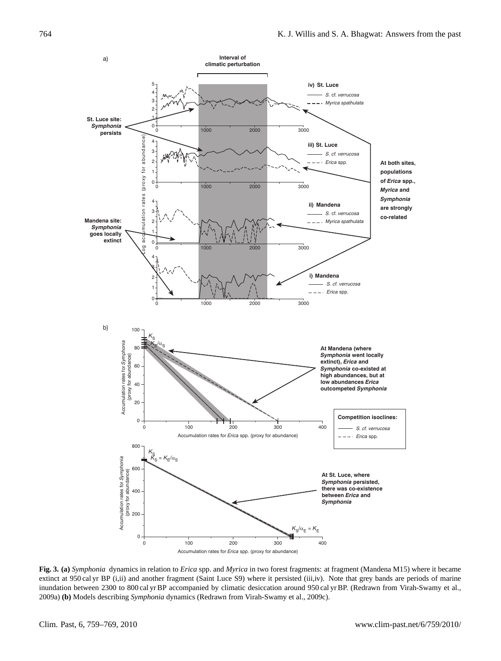

**Fig. 3. (a)** *Symphonia* dynamics in relation to *Erica* spp. and *Myrica* in two forest fragments: at fragment (Mandena M15) where it became extinct at 950 cal yr BP (i,ii) and another fragment (Saint Luce S9) where it persisted (iii,iv). Note that grey bands are periods of marine inundation between 2300 to 800 cal yr BP accompanied by climatic desiccation around 950 cal yr BP. (Redrawn from Virah-Swamy et al., 2009a) **(b)** Models describing *Symphonia* dynamics (Redrawn from Virah-Swamy et al., 2009c).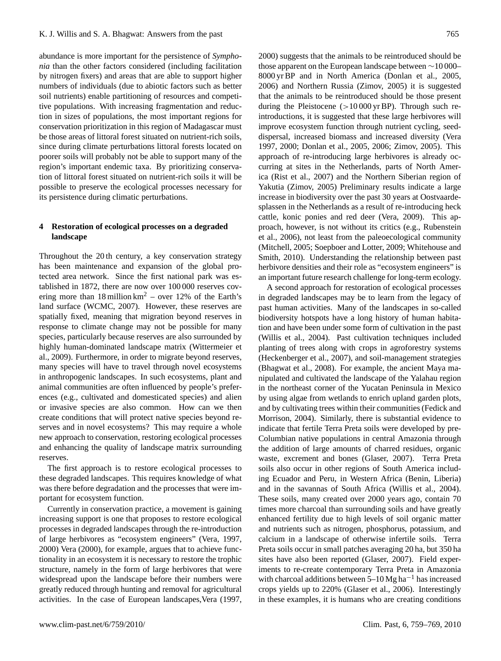abundance is more important for the persistence of *Symphonia* than the other factors considered (including facilitation by nitrogen fixers) and areas that are able to support higher numbers of individuals (due to abiotic factors such as better soil nutrients) enable partitioning of resources and competitive populations. With increasing fragmentation and reduction in sizes of populations, the most important regions for conservation prioritization in this region of Madagascar must be those areas of littoral forest situated on nutrient-rich soils, since during climate perturbations littoral forests located on poorer soils will probably not be able to support many of the region's important endemic taxa. By prioritizing conservation of littoral forest situated on nutrient-rich soils it will be possible to preserve the ecological processes necessary for its persistence during climatic perturbations.

#### **4 Restoration of ecological processes on a degraded landscape**

Throughout the 20 th century, a key conservation strategy has been maintenance and expansion of the global protected area network. Since the first national park was established in 1872, there are now over 100 000 reserves covering more than  $18$  million km<sup>2</sup> – over 12% of the Earth's land surface (WCMC, 2007). However, these reserves are spatially fixed, meaning that migration beyond reserves in response to climate change may not be possible for many species, particularly because reserves are also surrounded by highly human-dominated landscape matrix (Wittermeier et al., 2009). Furthermore, in order to migrate beyond reserves, many species will have to travel through novel ecosystems in anthropogenic landscapes. In such ecosystems, plant and animal communities are often influenced by people's preferences (e.g., cultivated and domesticated species) and alien or invasive species are also common. How can we then create conditions that will protect native species beyond reserves and in novel ecosystems? This may require a whole new approach to conservation, restoring ecological processes and enhancing the quality of landscape matrix surrounding reserves.

The first approach is to restore ecological processes to these degraded landscapes. This requires knowledge of what was there before degradation and the processes that were important for ecosystem function.

Currently in conservation practice, a movement is gaining increasing support is one that proposes to restore ecological processes in degraded landscapes through the re-introduction of large herbivores as "ecosystem engineers" (Vera, 1997, 2000) Vera (2000), for example, argues that to achieve functionality in an ecosystem it is necessary to restore the trophic structure, namely in the form of large herbivores that were widespread upon the landscape before their numbers were greatly reduced through hunting and removal for agricultural activities. In the case of European landscapes,Vera (1997, 2000) suggests that the animals to be reintroduced should be those apparent on the European landscape between ∼10 000– 8000 yr BP and in North America (Donlan et al., 2005, 2006) and Northern Russia (Zimov, 2005) it is suggested that the animals to be reintroduced should be those present during the Pleistocene  $(>10000 \text{ yr BP})$ . Through such reintroductions, it is suggested that these large herbivores will improve ecosystem function through nutrient cycling, seeddispersal, increased biomass and increased diversity (Vera 1997, 2000; Donlan et al., 2005, 2006; Zimov, 2005). This approach of re-introducing large herbivores is already occurring at sites in the Netherlands, parts of North America (Rist et al., 2007) and the Northern Siberian region of Yakutia (Zimov, 2005) Preliminary results indicate a large increase in biodiversity over the past 30 years at Oostvaardesplassen in the Netherlands as a result of re-introducing heck cattle, konic ponies and red deer (Vera, 2009). This approach, however, is not without its critics (e.g., Rubenstein et al., 2006), not least from the paleoecological community (Mitchell, 2005; Soepboer and Lotter, 2009; Whitehouse and Smith, 2010). Understanding the relationship between past herbivore densities and their role as "ecosystem engineers" is an important future research challenge for long-term ecology.

A second approach for restoration of ecological processes in degraded landscapes may be to learn from the legacy of past human activities. Many of the landscapes in so-called biodiversity hotspots have a long history of human habitation and have been under some form of cultivation in the past (Willis et al., 2004). Past cultivation techniques included planting of trees along with crops in agroforestry systems (Heckenberger et al., 2007), and soil-management strategies (Bhagwat et al., 2008). For example, the ancient Maya manipulated and cultivated the landscape of the Yalahau region in the northeast corner of the Yucatan Peninsula in Mexico by using algae from wetlands to enrich upland garden plots, and by cultivating trees within their communities (Fedick and Morrison, 2004). Similarly, there is substantial evidence to indicate that fertile Terra Preta soils were developed by pre-Columbian native populations in central Amazonia through the addition of large amounts of charred residues, organic waste, excrement and bones (Glaser, 2007). Terra Preta soils also occur in other regions of South America including Ecuador and Peru, in Western Africa (Benin, Liberia) and in the savannas of South Africa (Willis et al., 2004). These soils, many created over 2000 years ago, contain 70 times more charcoal than surrounding soils and have greatly enhanced fertility due to high levels of soil organic matter and nutrients such as nitrogen, phosphorus, potassium, and calcium in a landscape of otherwise infertile soils. Terra Preta soils occur in small patches averaging 20 ha, but 350 ha sites have also been reported (Glaser, 2007). Field experiments to re-create contemporary Terra Preta in Amazonia with charcoal additions between  $5-10$  Mg ha<sup>-1</sup> has increased crops yields up to 220% (Glaser et al., 2006). Interestingly in these examples, it is humans who are creating conditions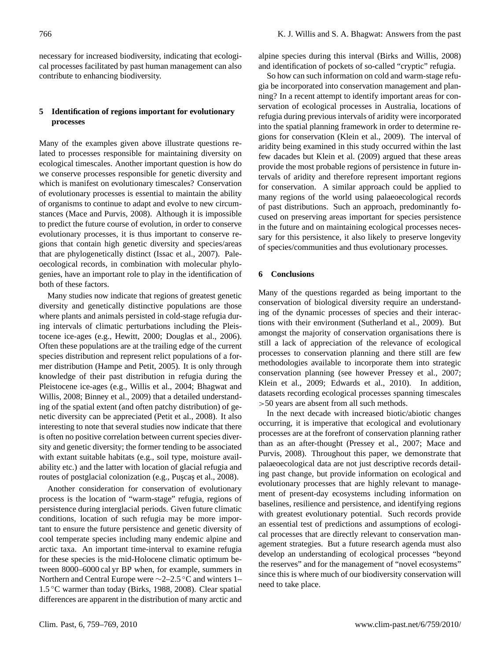necessary for increased biodiversity, indicating that ecological processes facilitated by past human management can also contribute to enhancing biodiversity.

## **5 Identification of regions important for evolutionary processes**

Many of the examples given above illustrate questions related to processes responsible for maintaining diversity on ecological timescales. Another important question is how do we conserve processes responsible for genetic diversity and which is manifest on evolutionary timescales? Conservation of evolutionary processes is essential to maintain the ability of organisms to continue to adapt and evolve to new circumstances (Mace and Purvis, 2008). Although it is impossible to predict the future course of evolution, in order to conserve evolutionary processes, it is thus important to conserve regions that contain high genetic diversity and species/areas that are phylogenetically distinct (Issac et al., 2007). Paleoecological records, in combination with molecular phylogenies, have an important role to play in the identification of both of these factors.

Many studies now indicate that regions of greatest genetic diversity and genetically distinctive populations are those where plants and animals persisted in cold-stage refugia during intervals of climatic perturbations including the Pleistocene ice-ages (e.g., Hewitt, 2000; Douglas et al., 2006). Often these populations are at the trailing edge of the current species distribution and represent relict populations of a former distribution (Hampe and Petit, 2005). It is only through knowledge of their past distribution in refugia during the Pleistocene ice-ages (e.g., Willis et al., 2004; Bhagwat and Willis, 2008; Binney et al., 2009) that a detailed understanding of the spatial extent (and often patchy distribution) of genetic diversity can be appreciated (Petit et al., 2008). It also interesting to note that several studies now indicate that there is often no positive correlation between current species diversity and genetic diversity; the former tending to be associated with extant suitable habitats (e.g., soil type, moisture availability etc.) and the latter with location of glacial refugia and routes of postglacial colonization (e.g., Puscas et al., 2008).

Another consideration for conservation of evolutionary process is the location of "warm-stage" refugia, regions of persistence during interglacial periods. Given future climatic conditions, location of such refugia may be more important to ensure the future persistence and genetic diversity of cool temperate species including many endemic alpine and arctic taxa. An important time-interval to examine refugia for these species is the mid-Holocene climatic optimum between 8000–6000 cal yr BP when, for example, summers in Northern and Central Europe were ∼2–2.5 ◦C and winters 1– 1.5 ◦C warmer than today (Birks, 1988, 2008). Clear spatial differences are apparent in the distribution of many arctic and

alpine species during this interval (Birks and Willis, 2008) and identification of pockets of so-called "cryptic" refugia.

So how can such information on cold and warm-stage refugia be incorporated into conservation management and planning? In a recent attempt to identify important areas for conservation of ecological processes in Australia, locations of refugia during previous intervals of aridity were incorporated into the spatial planning framework in order to determine regions for conservation (Klein et al., 2009). The interval of aridity being examined in this study occurred within the last few dacades but Klein et al. (2009) argued that these areas provide the most probable regions of persistence in future intervals of aridity and therefore represent important regions for conservation. A similar approach could be applied to many regions of the world using palaeoecological records of past distributions. Such an approach, predominantly focused on preserving areas important for species persistence in the future and on maintaining ecological processes necessary for this persistence, it also likely to preserve longevity of species/communities and thus evolutionary processes.

#### **6 Conclusions**

Many of the questions regarded as being important to the conservation of biological diversity require an understanding of the dynamic processes of species and their interactions with their environment (Sutherland et al., 2009). But amongst the majority of conservation organisations there is still a lack of appreciation of the relevance of ecological processes to conservation planning and there still are few methodologies available to incorporate them into strategic conservation planning (see however Pressey et al., 2007; Klein et al., 2009; Edwards et al., 2010). In addition, datasets recording ecological processes spanning timescales >50 years are absent from all such methods.

In the next decade with increased biotic/abiotic changes occurring, it is imperative that ecological and evolutionary processes are at the forefront of conservation planning rather than as an after-thought (Pressey et al., 2007; Mace and Purvis, 2008). Throughout this paper, we demonstrate that palaeoecological data are not just descriptive records detailing past change, but provide information on ecological and evolutionary processes that are highly relevant to management of present-day ecosystems including information on baselines, resilience and persistence, and identifying regions with greatest evolutionary potential. Such records provide an essential test of predictions and assumptions of ecological processes that are directly relevant to conservation management strategies. But a future research agenda must also develop an understanding of ecological processes "beyond the reserves" and for the management of "novel ecosystems" since this is where much of our biodiversity conservation will need to take place.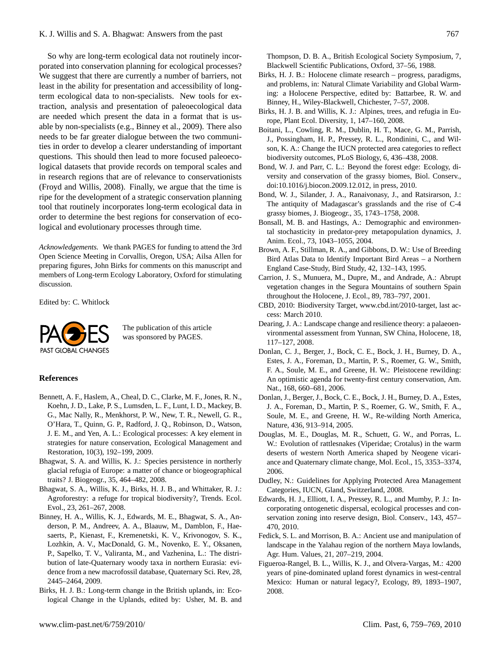So why are long-term ecological data not routinely incorporated into conservation planning for ecological processes? We suggest that there are currently a number of barriers, not least in the ability for presentation and accessibility of longterm ecological data to non-specialists. New tools for extraction, analysis and presentation of paleoecological data are needed which present the data in a format that is usable by non-specialists (e.g., Binney et al., 2009). There also needs to be far greater dialogue between the two communities in order to develop a clearer understanding of important questions. This should then lead to more focused paleoecological datasets that provide records on temporal scales and in research regions that are of relevance to conservationists (Froyd and Willis, 2008). Finally, we argue that the time is ripe for the development of a strategic conservation planning tool that routinely incorporates long-term ecological data in order to determine the best regions for conservation of ecological and evolutionary processes through time.

*Acknowledgements.* We thank PAGES for funding to attend the 3rd Open Science Meeting in Corvallis, Oregon, USA; Ailsa Allen for preparing figures, John Birks for comments on this manuscript and members of Long-term Ecology Laboratory, Oxford for stimulating discussion.

Edited by: C. Whitlock



The publication of this article was sponsored by PAGES.

#### **References**

- Bennett, A. F., Haslem, A., Cheal, D. C., Clarke, M. F., Jones, R. N., Koehn, J. D., Lake, P. S., Lumsden, L. F., Lunt, I. D., Mackey, B. G., Mac Nally, R., Menkhorst, P. W., New, T. R., Newell, G. R., O'Hara, T., Quinn, G. P., Radford, J. Q., Robinson, D., Watson, J. E. M., and Yen, A. L.: Ecological processes: A key element in strategies for nature conservation, Ecological Management and Restoration, 10(3), 192–199, 2009.
- Bhagwat, S. A. and Willis, K. J.: Species persistence in northerly glacial refugia of Europe: a matter of chance or biogeographical traits? J. Biogeogr., 35, 464–482, 2008.
- Bhagwat, S. A., Willis, K. J., Birks, H. J. B., and Whittaker, R. J.: Agroforestry: a refuge for tropical biodiversity?, Trends. Ecol. Evol., 23, 261–267, 2008.
- Binney, H. A., Willis, K. J., Edwards, M. E., Bhagwat, S. A., Anderson, P. M., Andreev, A. A., Blaauw, M., Damblon, F., Haesaerts, P., Kienast, F., Kremenetski, K. V., Krivonogov, S. K., Lozhkin, A. V., MacDonald, G. M., Novenko, E. Y., Oksanen, P., Sapelko, T. V., Valiranta, M., and Vazhenina, L.: The distribution of late-Quaternary woody taxa in northern Eurasia: evidence from a new macrofossil database, Quaternary Sci. Rev, 28, 2445–2464, 2009.
- Birks, H. J. B.: Long-term change in the British uplands, in: Ecological Change in the Uplands, edited by: Usher, M. B. and

Thompson, D. B. A., British Ecological Society Symposium, 7, Blackwell Scientific Publications, Oxford, 37–56, 1988.

- Birks, H. J. B.: Holocene climate research progress, paradigms, and problems, in: Natural Climate Variability and Global Warming: a Holocene Perspective, edited by: Battarbee, R. W. and Binney, H., Wiley-Blackwell, Chichester, 7–57, 2008.
- Birks, H. J. B. and Willis, K. J.: Alpines, trees, and refugia in Europe, Plant Ecol. Diversity, 1, 147–160, 2008.
- Boitani, L., Cowling, R. M., Dublin, H. T., Mace, G. M., Parrish, J., Possingham, H. P., Pressey, R. L., Rondinini, C., and Wilson, K. A.: Change the IUCN protected area categories to reflect biodiversity outcomes, PLoS Biology, 6, 436–438, 2008.
- Bond, W. J. and Parr, C. L.: Beyond the forest edge: Ecology, diversity and conservation of the grassy biomes, Biol. Conserv., doi:10.1016/j.biocon.2009.12.012, in press, 2010.
- Bond, W. J., Silander, J. A., Ranaivonasy, J., and Ratsirarson, J.: The antiquity of Madagascar's grasslands and the rise of C-4 grassy biomes, J. Biogeogr., 35, 1743–1758, 2008.
- Bonsall, M. B. and Hastings, A.: Demographic and environmental stochasticity in predator-prey metapopulation dynamics, J. Anim. Ecol., 73, 1043–1055, 2004.
- Brown, A. F., Stillman, R. A., and Gibbons, D. W.: Use of Breeding Bird Atlas Data to Identify Important Bird Areas – a Northern England Case-Study, Bird Study, 42, 132–143, 1995.
- Carrion, J. S., Munuera, M., Dupre, M., and Andrade, A.: Abrupt vegetation changes in the Segura Mountains of southern Spain throughout the Holocene, J. Ecol., 89, 783–797, 2001.
- CBD, 2010: Biodiversity Target, [www.cbd.int/2010-target,](www.cbd.int/2010-target) last access: March 2010.
- Dearing, J. A.: Landscape change and resilience theory: a palaeoenvironmental assessment from Yunnan, SW China, Holocene, 18, 117–127, 2008.
- Donlan, C. J., Berger, J., Bock, C. E., Bock, J. H., Burney, D. A., Estes, J. A., Foreman, D., Martin, P. S., Roemer, G. W., Smith, F. A., Soule, M. E., and Greene, H. W.: Pleistocene rewilding: An optimistic agenda for twenty-first century conservation, Am. Nat., 168, 660–681, 2006.
- Donlan, J., Berger, J., Bock, C. E., Bock, J. H., Burney, D. A., Estes, J. A., Foreman, D., Martin, P. S., Roemer, G. W., Smith, F. A., Soule, M. E., and Greene, H. W., Re-wilding North America, Nature, 436, 913–914, 2005.
- Douglas, M. E., Douglas, M. R., Schuett, G. W., and Porras, L. W.: Evolution of rattlesnakes (Viperidae; Crotalus) in the warm deserts of western North America shaped by Neogene vicariance and Quaternary climate change, Mol. Ecol., 15, 3353–3374, 2006.
- Dudley, N.: Guidelines for Applying Protected Area Management Categories, IUCN, Gland, Switzerland, 2008.
- Edwards, H. J., Elliott, I. A., Pressey, R. L., and Mumby, P. J.: Incorporating ontogenetic dispersal, ecological processes and conservation zoning into reserve design, Biol. Conserv., 143, 457– 470, 2010.
- Fedick, S. L. and Morrison, B. A.: Ancient use and manipulation of landscape in the Yalahau region of the northern Maya lowlands, Agr. Hum. Values, 21, 207–219, 2004.
- Figueroa-Rangel, B. L., Willis, K. J., and Olvera-Vargas, M.: 4200 years of pine-dominated upland forest dynamics in west-central Mexico: Human or natural legacy?, Ecology, 89, 1893–1907, 2008.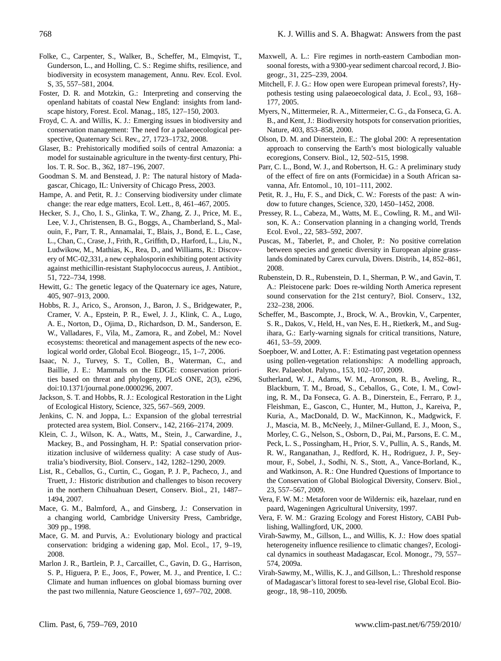- Folke, C., Carpenter, S., Walker, B., Scheffer, M., Elmqvist, T., Gunderson, L., and Holling, C. S.: Regime shifts, resilience, and biodiversity in ecosystem management, Annu. Rev. Ecol. Evol. S, 35, 557–581, 2004.
- Foster, D. R. and Motzkin, G.: Interpreting and conserving the openland habitats of coastal New England: insights from landscape history, Forest. Ecol. Manag., 185, 127–150, 2003.
- Froyd, C. A. and Willis, K. J.: Emerging issues in biodiversity and conservation management: The need for a palaeoecological perspective, Quaternary Sci. Rev., 27, 1723–1732, 2008.
- Glaser, B.: Prehistorically modified soils of central Amazonia: a model for sustainable agriculture in the twenty-first century, Philos. T. R. Soc. B., 362, 187–196, 2007.
- Goodman S. M. and Benstead, J. P.: The natural history of Madagascar, Chicago, IL: University of Chicago Press, 2003.
- Hampe, A. and Petit, R. J.: Conserving biodiversity under climate change: the rear edge matters, Ecol. Lett., 8, 461–467, 2005.
- Hecker, S. J., Cho, I. S., Glinka, T. W., Zhang, Z. J., Price, M. E., Lee, V. J., Christensen, B. G., Boggs, A., Chamberland, S., Malouin, F., Parr, T. R., Annamalai, T., Blais, J., Bond, E. L., Case, L., Chan, C., Crase, J., Frith, R., Griffith, D., Harford, L., Liu, N., Ludwikow, M., Mathias, K., Rea, D., and Williams, R.: Discovery of MC-02,331, a new cephalosporin exhibiting potent activity against methicillin-resistant Staphylococcus aureus, J. Antibiot., 51, 722–734, 1998.
- Hewitt, G.: The genetic legacy of the Quaternary ice ages, Nature, 405, 907–913, 2000.
- Hobbs, R. J., Arico, S., Aronson, J., Baron, J. S., Bridgewater, P., Cramer, V. A., Epstein, P. R., Ewel, J. J., Klink, C. A., Lugo, A. E., Norton, D., Ojima, D., Richardson, D. M., Sanderson, E. W., Valladares, F., Vila, M., Zamora, R., and Zobel, M.: Novel ecosystems: theoretical and management aspects of the new ecological world order, Global Ecol. Biogeogr., 15, 1–7, 2006.
- Isaac, N. J., Turvey, S. T., Collen, B., Waterman, C., and Baillie, J. E.: Mammals on the EDGE: conservation priorities based on threat and phylogeny, PLoS ONE, 2(3), e296, doi:10.1371/journal.pone.0000296, 2007.
- Jackson, S. T. and Hobbs, R. J.: Ecological Restoration in the Light of Ecological History, Science, 325, 567–569, 2009.
- Jenkins, C. N. and Joppa, L.: Expansion of the global terrestrial protected area system, Biol. Conserv., 142, 2166–2174, 2009.
- Klein, C. J., Wilson, K. A., Watts, M., Stein, J., Carwardine, J., Mackey, B., and Possingham, H. P.: Spatial conservation prioritization inclusive of wilderness quality: A case study of Australia's biodiversity, Biol. Conserv., 142, 1282–1290, 2009.
- List, R., Ceballos, G., Curtin, C., Gogan, P. J. P., Pacheco, J., and Truett, J.: Historic distribution and challenges to bison recovery in the northern Chihuahuan Desert, Conserv. Biol., 21, 1487– 1494, 2007.
- Mace, G. M., Balmford, A., and Ginsberg, J.: Conservation in a changing world, Cambridge University Press, Cambridge, 309 pp., 1998.
- Mace, G. M. and Purvis, A.: Evolutionary biology and practical conservation: bridging a widening gap, Mol. Ecol., 17, 9–19, 2008.
- Marlon J. R., Bartlein, P. J., Carcaillet, C., Gavin, D. G., Harrison, S. P., Higuera, P. E., Joos, F., Power, M. J., and Prentice, I. C.: Climate and human influences on global biomass burning over the past two millennia, Nature Geoscience 1, 697–702, 2008.
- Maxwell, A. L.: Fire regimes in north-eastern Cambodian monsoonal forests, with a 9300-year sediment charcoal record, J. Biogeogr., 31, 225–239, 2004.
- Mitchell, F. J. G.: How open were European primeval forests?, Hypothesis testing using palaeoecological data, J. Ecol., 93, 168– 177, 2005.
- Myers, N., Mittermeier, R. A., Mittermeier, C. G., da Fonseca, G. A. B., and Kent, J.: Biodiversity hotspots for conservation priorities, Nature, 403, 853–858, 2000.
- Olson, D. M. and Dinerstein, E.: The global 200: A representation approach to conserving the Earth's most biologically valuable ecoregions, Conserv. Biol., 12, 502–515, 1998.
- Parr, C. L., Bond, W. J., and Robertson, H. G.: A preliminary study of the effect of fire on ants (Formicidae) in a South African savanna, Afr. Entomol., 10, 101–111, 2002.
- Petit, R. J., Hu, F. S., and Dick, C. W.: Forests of the past: A window to future changes, Science, 320, 1450–1452, 2008.
- Pressey, R. L., Cabeza, M., Watts, M. E., Cowling, R. M., and Wilson, K. A.: Conservation planning in a changing world, Trends Ecol. Evol., 22, 583–592, 2007.
- Puscas, M., Taberlet, P., and Choler, P.: No positive correlation between species and genetic diversity in European alpine grasslands dominated by Carex curvula, Divers. Distrib., 14, 852–861, 2008.
- Rubenstein, D. R., Rubenstein, D. I., Sherman, P. W., and Gavin, T. A.: Pleistocene park: Does re-wilding North America represent sound conservation for the 21st century?, Biol. Conserv., 132, 232–238, 2006.
- Scheffer, M., Bascompte, J., Brock, W. A., Brovkin, V., Carpenter, S. R., Dakos, V., Held, H., van Nes, E. H., Rietkerk, M., and Sugihara, G.: Early-warning signals for critical transitions, Nature, 461, 53–59, 2009.
- Soepboer, W. and Lotter, A. F.: Estimating past vegetation openness using pollen-vegetation relationships: A modelling approach, Rev. Palaeobot. Palyno., 153, 102–107, 2009.
- Sutherland, W. J., Adams, W. M., Aronson, R. B., Aveling, R., Blackburn, T. M., Broad, S., Ceballos, G., Cote, I. M., Cowling, R. M., Da Fonseca, G. A. B., Dinerstein, E., Ferraro, P. J., Fleishman, E., Gascon, C., Hunter, M., Hutton, J., Kareiva, P., Kuria, A., MacDonald, D. W., MacKinnon, K., Madgwick, F. J., Mascia, M. B., McNeely, J., Milner-Gulland, E. J., Moon, S., Morley, C. G., Nelson, S., Osborn, D., Pai, M., Parsons, E. C. M., Peck, L. S., Possingham, H., Prior, S. V., Pullin, A. S., Rands, M. R. W., Ranganathan, J., Redford, K. H., Rodriguez, J. P., Seymour, F., Sobel, J., Sodhi, N. S., Stott, A., Vance-Borland, K., and Watkinson, A. R.: One Hundred Questions of Importance to the Conservation of Global Biological Diversity, Conserv. Biol., 23, 557–567, 2009.
- Vera, F. W. M.: Metaforen voor de Wildernis: eik, hazelaar, rund en paard, Wageningen Agricultural University, 1997.
- Vera, F. W. M.: Grazing Ecology and Forest History, CABI Publishing, Wallingford, UK, 2000.
- Virah-Sawmy, M., Gillson, L., and Willis, K. J.: How does spatial heterogeneity influence resilience to climatic changes?, Ecological dynamics in southeast Madagascar, Ecol. Monogr., 79, 557– 574, 2009a.
- Virah-Sawmy, M., Willis, K. J., and Gillson, L.: Threshold response of Madagascar's littoral forest to sea-level rise, Global Ecol. Biogeogr., 18, 98–110, 2009b.